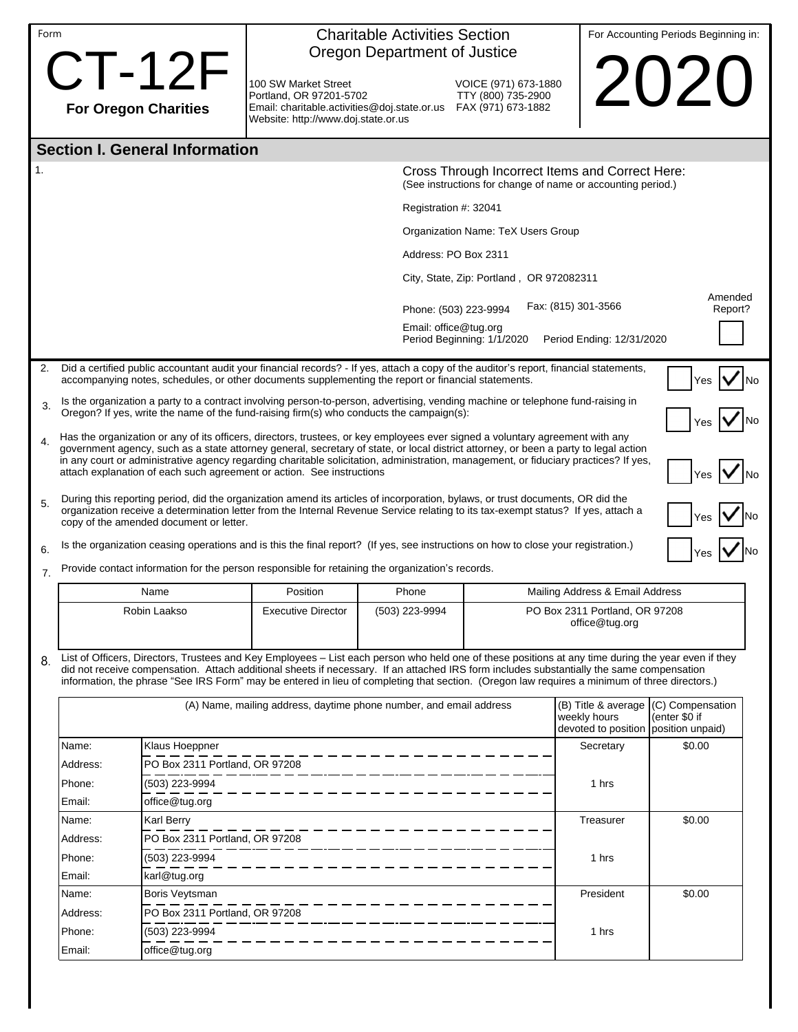| $CT-12F$<br>2020<br>100 SW Market Street<br>VOICE (971) 673-1880<br>TTY (800) 735-2900<br>Portland, OR 97201-5702<br>FAX (971) 673-1882<br><b>For Oregon Charities</b><br>Email: charitable.activities@doj.state.or.us<br>Website: http://www.doj.state.or.us<br><b>Section I. General Information</b><br>1.<br>Cross Through Incorrect Items and Correct Here:<br>(See instructions for change of name or accounting period.)<br>Registration $#$ : 32041<br>Organization Name: TeX Users Group<br>Address: PO Box 2311<br>City, State, Zip: Portland, OR 972082311<br>Amended<br>Fax: (815) 301-3566<br>Phone: (503) 223-9994<br>Report?<br>Email: office@tug.org<br>Period Beginning: 1/1/2020<br>Period Ending: 12/31/2020<br>Did a certified public accountant audit your financial records? - If yes, attach a copy of the auditor's report, financial statements,<br>2.<br>accompanying notes, schedules, or other documents supplementing the report or financial statements.<br>Yes<br>Is the organization a party to a contract involving person-to-person, advertising, vending machine or telephone fund-raising in<br>3.<br>Oregon? If yes, write the name of the fund-raising firm(s) who conducts the campaign(s):<br>Has the organization or any of its officers, directors, trustees, or key employees ever signed a voluntary agreement with any<br>4.<br>government agency, such as a state attorney general, secretary of state, or local district attorney, or been a party to legal action<br>in any court or administrative agency regarding charitable solicitation, administration, management, or fiduciary practices? If yes,<br>attach explanation of each such agreement or action. See instructions<br>During this reporting period, did the organization amend its articles of incorporation, bylaws, or trust documents, OR did the<br>5.<br>organization receive a determination letter from the Internal Revenue Service relating to its tax-exempt status? If yes, attach a<br>copy of the amended document or letter.<br>Is the organization ceasing operations and is this the final report? (If yes, see instructions on how to close your registration.)<br>6.<br>Provide contact information for the person responsible for retaining the organization's records.<br>7.<br>Position<br>Mailing Address & Email Address<br>Name<br>Phone<br>Robin Laakso<br><b>Executive Director</b><br>(503) 223-9994<br>PO Box 2311 Portland, OR 97208<br>office@tug.org<br>List of Officers, Directors, Trustees and Key Employees - List each person who held one of these positions at any time during the year even if they<br>8.<br>did not receive compensation. Attach additional sheets if necessary. If an attached IRS form includes substantially the same compensation<br>information, the phrase "See IRS Form" may be entered in lieu of completing that section. (Oregon law requires a minimum of three directors.)<br>(A) Name, mailing address, daytime phone number, and email address<br>(B) Title & average $(C)$ Compensation<br>(enter \$0 if<br>weekly hours<br>devoted to position position unpaid)<br>\$0.00<br>Name:<br>Klaus Hoeppner<br>Secretary<br>PO Box 2311 Portland, OR 97208<br>Address:<br>(503) 223-9994<br>Phone:<br>1 hrs<br>office@tug.org<br>Email:<br>Karl Berry<br>Treasurer<br>\$0.00<br>Name:<br>PO Box 2311 Portland, OR 97208<br>Address:<br>(503) 223-9994<br>Phone:<br>1 hrs<br>Email:<br>karl@tug.org<br>Boris Veytsman<br>President<br>\$0.00<br>Name:<br>PO Box 2311 Portland, OR 97208<br>Address:<br>(503) 223-9994<br>Phone:<br>1 hrs<br>office@tug.org<br>Email: | Form |  |  | <b>Charitable Activities Section</b><br>Oregon Department of Justice |  |  |  | For Accounting Periods Beginning in: |  |
|-----------------------------------------------------------------------------------------------------------------------------------------------------------------------------------------------------------------------------------------------------------------------------------------------------------------------------------------------------------------------------------------------------------------------------------------------------------------------------------------------------------------------------------------------------------------------------------------------------------------------------------------------------------------------------------------------------------------------------------------------------------------------------------------------------------------------------------------------------------------------------------------------------------------------------------------------------------------------------------------------------------------------------------------------------------------------------------------------------------------------------------------------------------------------------------------------------------------------------------------------------------------------------------------------------------------------------------------------------------------------------------------------------------------------------------------------------------------------------------------------------------------------------------------------------------------------------------------------------------------------------------------------------------------------------------------------------------------------------------------------------------------------------------------------------------------------------------------------------------------------------------------------------------------------------------------------------------------------------------------------------------------------------------------------------------------------------------------------------------------------------------------------------------------------------------------------------------------------------------------------------------------------------------------------------------------------------------------------------------------------------------------------------------------------------------------------------------------------------------------------------------------------------------------------------------------------------------------------------------------------------------------------------------------------------------------------------------------------------------------------------------------------------------------------------------------------------------------------------------------------------------------------------------------------------------------------------------------------------------------------------------------------------------------------------------------------------------------------------------------------------------------------------------------------------------------------------------------------------------------------------------------------------------------------------------------------------------------------------------------------------------------------------------------------------------------------------------------------------------------------------------------------------------------------------------------------------------------------------------------------------------------------------|------|--|--|----------------------------------------------------------------------|--|--|--|--------------------------------------|--|
|                                                                                                                                                                                                                                                                                                                                                                                                                                                                                                                                                                                                                                                                                                                                                                                                                                                                                                                                                                                                                                                                                                                                                                                                                                                                                                                                                                                                                                                                                                                                                                                                                                                                                                                                                                                                                                                                                                                                                                                                                                                                                                                                                                                                                                                                                                                                                                                                                                                                                                                                                                                                                                                                                                                                                                                                                                                                                                                                                                                                                                                                                                                                                                                                                                                                                                                                                                                                                                                                                                                                                                                                                                                     |      |  |  |                                                                      |  |  |  |                                      |  |
|                                                                                                                                                                                                                                                                                                                                                                                                                                                                                                                                                                                                                                                                                                                                                                                                                                                                                                                                                                                                                                                                                                                                                                                                                                                                                                                                                                                                                                                                                                                                                                                                                                                                                                                                                                                                                                                                                                                                                                                                                                                                                                                                                                                                                                                                                                                                                                                                                                                                                                                                                                                                                                                                                                                                                                                                                                                                                                                                                                                                                                                                                                                                                                                                                                                                                                                                                                                                                                                                                                                                                                                                                                                     |      |  |  |                                                                      |  |  |  |                                      |  |
|                                                                                                                                                                                                                                                                                                                                                                                                                                                                                                                                                                                                                                                                                                                                                                                                                                                                                                                                                                                                                                                                                                                                                                                                                                                                                                                                                                                                                                                                                                                                                                                                                                                                                                                                                                                                                                                                                                                                                                                                                                                                                                                                                                                                                                                                                                                                                                                                                                                                                                                                                                                                                                                                                                                                                                                                                                                                                                                                                                                                                                                                                                                                                                                                                                                                                                                                                                                                                                                                                                                                                                                                                                                     |      |  |  |                                                                      |  |  |  |                                      |  |
|                                                                                                                                                                                                                                                                                                                                                                                                                                                                                                                                                                                                                                                                                                                                                                                                                                                                                                                                                                                                                                                                                                                                                                                                                                                                                                                                                                                                                                                                                                                                                                                                                                                                                                                                                                                                                                                                                                                                                                                                                                                                                                                                                                                                                                                                                                                                                                                                                                                                                                                                                                                                                                                                                                                                                                                                                                                                                                                                                                                                                                                                                                                                                                                                                                                                                                                                                                                                                                                                                                                                                                                                                                                     |      |  |  |                                                                      |  |  |  |                                      |  |
|                                                                                                                                                                                                                                                                                                                                                                                                                                                                                                                                                                                                                                                                                                                                                                                                                                                                                                                                                                                                                                                                                                                                                                                                                                                                                                                                                                                                                                                                                                                                                                                                                                                                                                                                                                                                                                                                                                                                                                                                                                                                                                                                                                                                                                                                                                                                                                                                                                                                                                                                                                                                                                                                                                                                                                                                                                                                                                                                                                                                                                                                                                                                                                                                                                                                                                                                                                                                                                                                                                                                                                                                                                                     |      |  |  |                                                                      |  |  |  |                                      |  |
|                                                                                                                                                                                                                                                                                                                                                                                                                                                                                                                                                                                                                                                                                                                                                                                                                                                                                                                                                                                                                                                                                                                                                                                                                                                                                                                                                                                                                                                                                                                                                                                                                                                                                                                                                                                                                                                                                                                                                                                                                                                                                                                                                                                                                                                                                                                                                                                                                                                                                                                                                                                                                                                                                                                                                                                                                                                                                                                                                                                                                                                                                                                                                                                                                                                                                                                                                                                                                                                                                                                                                                                                                                                     |      |  |  |                                                                      |  |  |  |                                      |  |
|                                                                                                                                                                                                                                                                                                                                                                                                                                                                                                                                                                                                                                                                                                                                                                                                                                                                                                                                                                                                                                                                                                                                                                                                                                                                                                                                                                                                                                                                                                                                                                                                                                                                                                                                                                                                                                                                                                                                                                                                                                                                                                                                                                                                                                                                                                                                                                                                                                                                                                                                                                                                                                                                                                                                                                                                                                                                                                                                                                                                                                                                                                                                                                                                                                                                                                                                                                                                                                                                                                                                                                                                                                                     |      |  |  |                                                                      |  |  |  |                                      |  |
|                                                                                                                                                                                                                                                                                                                                                                                                                                                                                                                                                                                                                                                                                                                                                                                                                                                                                                                                                                                                                                                                                                                                                                                                                                                                                                                                                                                                                                                                                                                                                                                                                                                                                                                                                                                                                                                                                                                                                                                                                                                                                                                                                                                                                                                                                                                                                                                                                                                                                                                                                                                                                                                                                                                                                                                                                                                                                                                                                                                                                                                                                                                                                                                                                                                                                                                                                                                                                                                                                                                                                                                                                                                     |      |  |  |                                                                      |  |  |  |                                      |  |
|                                                                                                                                                                                                                                                                                                                                                                                                                                                                                                                                                                                                                                                                                                                                                                                                                                                                                                                                                                                                                                                                                                                                                                                                                                                                                                                                                                                                                                                                                                                                                                                                                                                                                                                                                                                                                                                                                                                                                                                                                                                                                                                                                                                                                                                                                                                                                                                                                                                                                                                                                                                                                                                                                                                                                                                                                                                                                                                                                                                                                                                                                                                                                                                                                                                                                                                                                                                                                                                                                                                                                                                                                                                     |      |  |  |                                                                      |  |  |  |                                      |  |
|                                                                                                                                                                                                                                                                                                                                                                                                                                                                                                                                                                                                                                                                                                                                                                                                                                                                                                                                                                                                                                                                                                                                                                                                                                                                                                                                                                                                                                                                                                                                                                                                                                                                                                                                                                                                                                                                                                                                                                                                                                                                                                                                                                                                                                                                                                                                                                                                                                                                                                                                                                                                                                                                                                                                                                                                                                                                                                                                                                                                                                                                                                                                                                                                                                                                                                                                                                                                                                                                                                                                                                                                                                                     |      |  |  |                                                                      |  |  |  |                                      |  |
|                                                                                                                                                                                                                                                                                                                                                                                                                                                                                                                                                                                                                                                                                                                                                                                                                                                                                                                                                                                                                                                                                                                                                                                                                                                                                                                                                                                                                                                                                                                                                                                                                                                                                                                                                                                                                                                                                                                                                                                                                                                                                                                                                                                                                                                                                                                                                                                                                                                                                                                                                                                                                                                                                                                                                                                                                                                                                                                                                                                                                                                                                                                                                                                                                                                                                                                                                                                                                                                                                                                                                                                                                                                     |      |  |  |                                                                      |  |  |  |                                      |  |
|                                                                                                                                                                                                                                                                                                                                                                                                                                                                                                                                                                                                                                                                                                                                                                                                                                                                                                                                                                                                                                                                                                                                                                                                                                                                                                                                                                                                                                                                                                                                                                                                                                                                                                                                                                                                                                                                                                                                                                                                                                                                                                                                                                                                                                                                                                                                                                                                                                                                                                                                                                                                                                                                                                                                                                                                                                                                                                                                                                                                                                                                                                                                                                                                                                                                                                                                                                                                                                                                                                                                                                                                                                                     |      |  |  |                                                                      |  |  |  |                                      |  |
|                                                                                                                                                                                                                                                                                                                                                                                                                                                                                                                                                                                                                                                                                                                                                                                                                                                                                                                                                                                                                                                                                                                                                                                                                                                                                                                                                                                                                                                                                                                                                                                                                                                                                                                                                                                                                                                                                                                                                                                                                                                                                                                                                                                                                                                                                                                                                                                                                                                                                                                                                                                                                                                                                                                                                                                                                                                                                                                                                                                                                                                                                                                                                                                                                                                                                                                                                                                                                                                                                                                                                                                                                                                     |      |  |  |                                                                      |  |  |  |                                      |  |
|                                                                                                                                                                                                                                                                                                                                                                                                                                                                                                                                                                                                                                                                                                                                                                                                                                                                                                                                                                                                                                                                                                                                                                                                                                                                                                                                                                                                                                                                                                                                                                                                                                                                                                                                                                                                                                                                                                                                                                                                                                                                                                                                                                                                                                                                                                                                                                                                                                                                                                                                                                                                                                                                                                                                                                                                                                                                                                                                                                                                                                                                                                                                                                                                                                                                                                                                                                                                                                                                                                                                                                                                                                                     |      |  |  |                                                                      |  |  |  |                                      |  |
|                                                                                                                                                                                                                                                                                                                                                                                                                                                                                                                                                                                                                                                                                                                                                                                                                                                                                                                                                                                                                                                                                                                                                                                                                                                                                                                                                                                                                                                                                                                                                                                                                                                                                                                                                                                                                                                                                                                                                                                                                                                                                                                                                                                                                                                                                                                                                                                                                                                                                                                                                                                                                                                                                                                                                                                                                                                                                                                                                                                                                                                                                                                                                                                                                                                                                                                                                                                                                                                                                                                                                                                                                                                     |      |  |  |                                                                      |  |  |  |                                      |  |
|                                                                                                                                                                                                                                                                                                                                                                                                                                                                                                                                                                                                                                                                                                                                                                                                                                                                                                                                                                                                                                                                                                                                                                                                                                                                                                                                                                                                                                                                                                                                                                                                                                                                                                                                                                                                                                                                                                                                                                                                                                                                                                                                                                                                                                                                                                                                                                                                                                                                                                                                                                                                                                                                                                                                                                                                                                                                                                                                                                                                                                                                                                                                                                                                                                                                                                                                                                                                                                                                                                                                                                                                                                                     |      |  |  |                                                                      |  |  |  |                                      |  |
|                                                                                                                                                                                                                                                                                                                                                                                                                                                                                                                                                                                                                                                                                                                                                                                                                                                                                                                                                                                                                                                                                                                                                                                                                                                                                                                                                                                                                                                                                                                                                                                                                                                                                                                                                                                                                                                                                                                                                                                                                                                                                                                                                                                                                                                                                                                                                                                                                                                                                                                                                                                                                                                                                                                                                                                                                                                                                                                                                                                                                                                                                                                                                                                                                                                                                                                                                                                                                                                                                                                                                                                                                                                     |      |  |  |                                                                      |  |  |  |                                      |  |
|                                                                                                                                                                                                                                                                                                                                                                                                                                                                                                                                                                                                                                                                                                                                                                                                                                                                                                                                                                                                                                                                                                                                                                                                                                                                                                                                                                                                                                                                                                                                                                                                                                                                                                                                                                                                                                                                                                                                                                                                                                                                                                                                                                                                                                                                                                                                                                                                                                                                                                                                                                                                                                                                                                                                                                                                                                                                                                                                                                                                                                                                                                                                                                                                                                                                                                                                                                                                                                                                                                                                                                                                                                                     |      |  |  |                                                                      |  |  |  |                                      |  |
|                                                                                                                                                                                                                                                                                                                                                                                                                                                                                                                                                                                                                                                                                                                                                                                                                                                                                                                                                                                                                                                                                                                                                                                                                                                                                                                                                                                                                                                                                                                                                                                                                                                                                                                                                                                                                                                                                                                                                                                                                                                                                                                                                                                                                                                                                                                                                                                                                                                                                                                                                                                                                                                                                                                                                                                                                                                                                                                                                                                                                                                                                                                                                                                                                                                                                                                                                                                                                                                                                                                                                                                                                                                     |      |  |  |                                                                      |  |  |  |                                      |  |
|                                                                                                                                                                                                                                                                                                                                                                                                                                                                                                                                                                                                                                                                                                                                                                                                                                                                                                                                                                                                                                                                                                                                                                                                                                                                                                                                                                                                                                                                                                                                                                                                                                                                                                                                                                                                                                                                                                                                                                                                                                                                                                                                                                                                                                                                                                                                                                                                                                                                                                                                                                                                                                                                                                                                                                                                                                                                                                                                                                                                                                                                                                                                                                                                                                                                                                                                                                                                                                                                                                                                                                                                                                                     |      |  |  |                                                                      |  |  |  |                                      |  |
|                                                                                                                                                                                                                                                                                                                                                                                                                                                                                                                                                                                                                                                                                                                                                                                                                                                                                                                                                                                                                                                                                                                                                                                                                                                                                                                                                                                                                                                                                                                                                                                                                                                                                                                                                                                                                                                                                                                                                                                                                                                                                                                                                                                                                                                                                                                                                                                                                                                                                                                                                                                                                                                                                                                                                                                                                                                                                                                                                                                                                                                                                                                                                                                                                                                                                                                                                                                                                                                                                                                                                                                                                                                     |      |  |  |                                                                      |  |  |  |                                      |  |
|                                                                                                                                                                                                                                                                                                                                                                                                                                                                                                                                                                                                                                                                                                                                                                                                                                                                                                                                                                                                                                                                                                                                                                                                                                                                                                                                                                                                                                                                                                                                                                                                                                                                                                                                                                                                                                                                                                                                                                                                                                                                                                                                                                                                                                                                                                                                                                                                                                                                                                                                                                                                                                                                                                                                                                                                                                                                                                                                                                                                                                                                                                                                                                                                                                                                                                                                                                                                                                                                                                                                                                                                                                                     |      |  |  |                                                                      |  |  |  |                                      |  |
|                                                                                                                                                                                                                                                                                                                                                                                                                                                                                                                                                                                                                                                                                                                                                                                                                                                                                                                                                                                                                                                                                                                                                                                                                                                                                                                                                                                                                                                                                                                                                                                                                                                                                                                                                                                                                                                                                                                                                                                                                                                                                                                                                                                                                                                                                                                                                                                                                                                                                                                                                                                                                                                                                                                                                                                                                                                                                                                                                                                                                                                                                                                                                                                                                                                                                                                                                                                                                                                                                                                                                                                                                                                     |      |  |  |                                                                      |  |  |  |                                      |  |
|                                                                                                                                                                                                                                                                                                                                                                                                                                                                                                                                                                                                                                                                                                                                                                                                                                                                                                                                                                                                                                                                                                                                                                                                                                                                                                                                                                                                                                                                                                                                                                                                                                                                                                                                                                                                                                                                                                                                                                                                                                                                                                                                                                                                                                                                                                                                                                                                                                                                                                                                                                                                                                                                                                                                                                                                                                                                                                                                                                                                                                                                                                                                                                                                                                                                                                                                                                                                                                                                                                                                                                                                                                                     |      |  |  |                                                                      |  |  |  |                                      |  |
|                                                                                                                                                                                                                                                                                                                                                                                                                                                                                                                                                                                                                                                                                                                                                                                                                                                                                                                                                                                                                                                                                                                                                                                                                                                                                                                                                                                                                                                                                                                                                                                                                                                                                                                                                                                                                                                                                                                                                                                                                                                                                                                                                                                                                                                                                                                                                                                                                                                                                                                                                                                                                                                                                                                                                                                                                                                                                                                                                                                                                                                                                                                                                                                                                                                                                                                                                                                                                                                                                                                                                                                                                                                     |      |  |  |                                                                      |  |  |  |                                      |  |
|                                                                                                                                                                                                                                                                                                                                                                                                                                                                                                                                                                                                                                                                                                                                                                                                                                                                                                                                                                                                                                                                                                                                                                                                                                                                                                                                                                                                                                                                                                                                                                                                                                                                                                                                                                                                                                                                                                                                                                                                                                                                                                                                                                                                                                                                                                                                                                                                                                                                                                                                                                                                                                                                                                                                                                                                                                                                                                                                                                                                                                                                                                                                                                                                                                                                                                                                                                                                                                                                                                                                                                                                                                                     |      |  |  |                                                                      |  |  |  |                                      |  |
|                                                                                                                                                                                                                                                                                                                                                                                                                                                                                                                                                                                                                                                                                                                                                                                                                                                                                                                                                                                                                                                                                                                                                                                                                                                                                                                                                                                                                                                                                                                                                                                                                                                                                                                                                                                                                                                                                                                                                                                                                                                                                                                                                                                                                                                                                                                                                                                                                                                                                                                                                                                                                                                                                                                                                                                                                                                                                                                                                                                                                                                                                                                                                                                                                                                                                                                                                                                                                                                                                                                                                                                                                                                     |      |  |  |                                                                      |  |  |  |                                      |  |
|                                                                                                                                                                                                                                                                                                                                                                                                                                                                                                                                                                                                                                                                                                                                                                                                                                                                                                                                                                                                                                                                                                                                                                                                                                                                                                                                                                                                                                                                                                                                                                                                                                                                                                                                                                                                                                                                                                                                                                                                                                                                                                                                                                                                                                                                                                                                                                                                                                                                                                                                                                                                                                                                                                                                                                                                                                                                                                                                                                                                                                                                                                                                                                                                                                                                                                                                                                                                                                                                                                                                                                                                                                                     |      |  |  |                                                                      |  |  |  |                                      |  |
|                                                                                                                                                                                                                                                                                                                                                                                                                                                                                                                                                                                                                                                                                                                                                                                                                                                                                                                                                                                                                                                                                                                                                                                                                                                                                                                                                                                                                                                                                                                                                                                                                                                                                                                                                                                                                                                                                                                                                                                                                                                                                                                                                                                                                                                                                                                                                                                                                                                                                                                                                                                                                                                                                                                                                                                                                                                                                                                                                                                                                                                                                                                                                                                                                                                                                                                                                                                                                                                                                                                                                                                                                                                     |      |  |  |                                                                      |  |  |  |                                      |  |
|                                                                                                                                                                                                                                                                                                                                                                                                                                                                                                                                                                                                                                                                                                                                                                                                                                                                                                                                                                                                                                                                                                                                                                                                                                                                                                                                                                                                                                                                                                                                                                                                                                                                                                                                                                                                                                                                                                                                                                                                                                                                                                                                                                                                                                                                                                                                                                                                                                                                                                                                                                                                                                                                                                                                                                                                                                                                                                                                                                                                                                                                                                                                                                                                                                                                                                                                                                                                                                                                                                                                                                                                                                                     |      |  |  |                                                                      |  |  |  |                                      |  |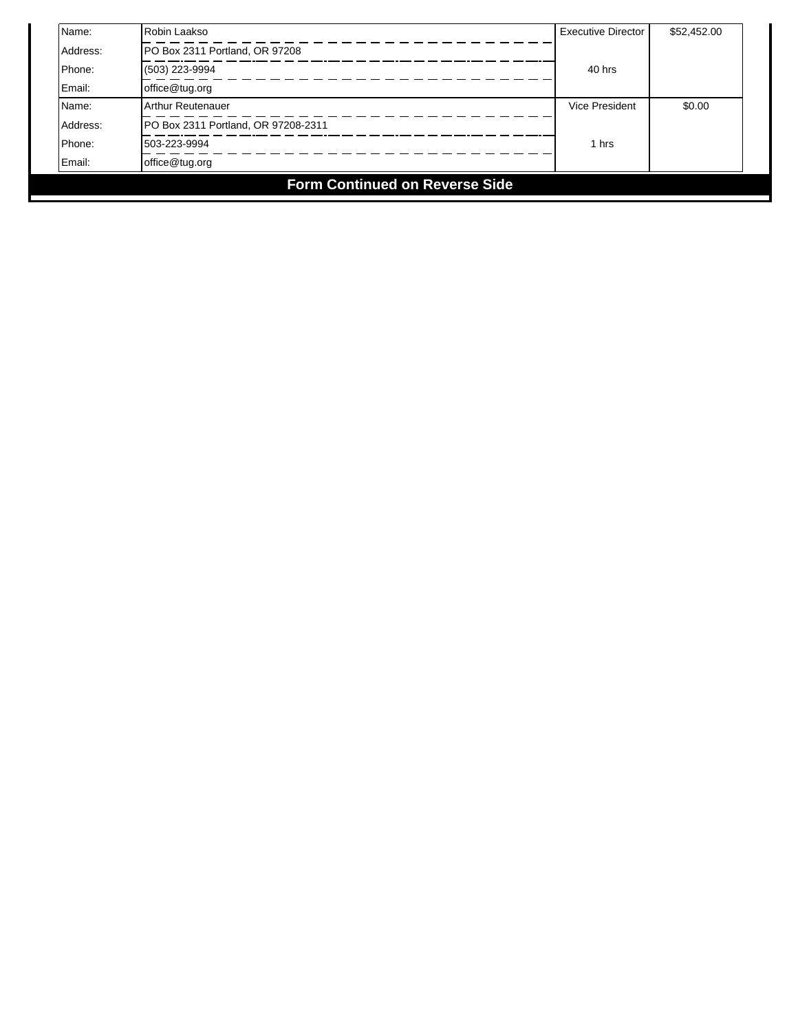| Name:                                 | Robin Laakso                        | <b>Executive Director</b> | \$52,452.00 |  |  |  |
|---------------------------------------|-------------------------------------|---------------------------|-------------|--|--|--|
| Address:                              | PO Box 2311 Portland, OR 97208      |                           |             |  |  |  |
| Phone:                                | (503) 223-9994                      | 40 hrs                    |             |  |  |  |
| Email:                                | office@tug.org                      |                           |             |  |  |  |
| Name:                                 | Arthur Reutenauer                   | <b>Vice President</b>     | \$0.00      |  |  |  |
| Address:                              | PO Box 2311 Portland, OR 97208-2311 |                           |             |  |  |  |
| Phone:                                | 503-223-9994                        | 1 hrs                     |             |  |  |  |
| Email:                                | office@tug.org                      |                           |             |  |  |  |
| <b>Form Continued on Reverse Side</b> |                                     |                           |             |  |  |  |